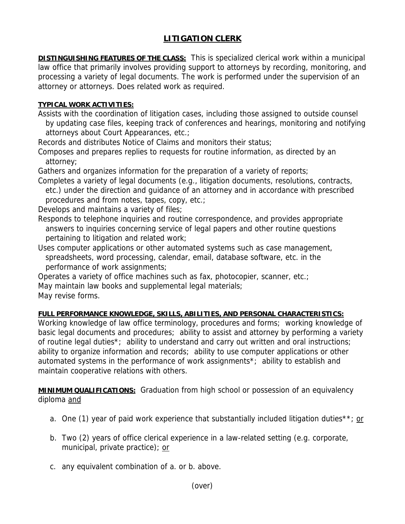## **LITIGATION CLERK**

**DISTINGUISHING FEATURES OF THE CLASS:** This is specialized clerical work within a municipal law office that primarily involves providing support to attorneys by recording, monitoring, and processing a variety of legal documents. The work is performed under the supervision of an attorney or attorneys. Does related work as required.

## **TYPICAL WORK ACTIVITIES:**

Assists with the coordination of litigation cases, including those assigned to outside counsel by updating case files, keeping track of conferences and hearings, monitoring and notifying attorneys about Court Appearances, etc.;

Records and distributes Notice of Claims and monitors their status;

Composes and prepares replies to requests for routine information, as directed by an attorney;

Gathers and organizes information for the preparation of a variety of reports;

Completes a variety of legal documents (e.g., litigation documents, resolutions, contracts, etc.) under the direction and guidance of an attorney and in accordance with prescribed procedures and from notes, tapes, copy, etc.;

Develops and maintains a variety of files;

Responds to telephone inquiries and routine correspondence, and provides appropriate answers to inquiries concerning service of legal papers and other routine questions pertaining to litigation and related work;

Uses computer applications or other automated systems such as case management, spreadsheets, word processing, calendar, email, database software, etc. in the performance of work assignments;

Operates a variety of office machines such as fax, photocopier, scanner, etc.;

May maintain law books and supplemental legal materials;

May revise forms.

## **FULL PERFORMANCE KNOWLEDGE, SKILLS, ABILITIES, AND PERSONAL CHARACTERISTICS:**

Working knowledge of law office terminology, procedures and forms; working knowledge of basic legal documents and procedures; ability to assist and attorney by performing a variety of routine legal duties\*; ability to understand and carry out written and oral instructions; ability to organize information and records; ability to use computer applications or other automated systems in the performance of work assignments\*; ability to establish and maintain cooperative relations with others.

**MINIMUM QUALIFICATIONS:** Graduation from high school or possession of an equivalency diploma and

- a. One (1) year of paid work experience that substantially included litigation duties\*\*; or
- b. Two (2) years of office clerical experience in a law-related setting (e.g. corporate, municipal, private practice); or
- c. any equivalent combination of a. or b. above.